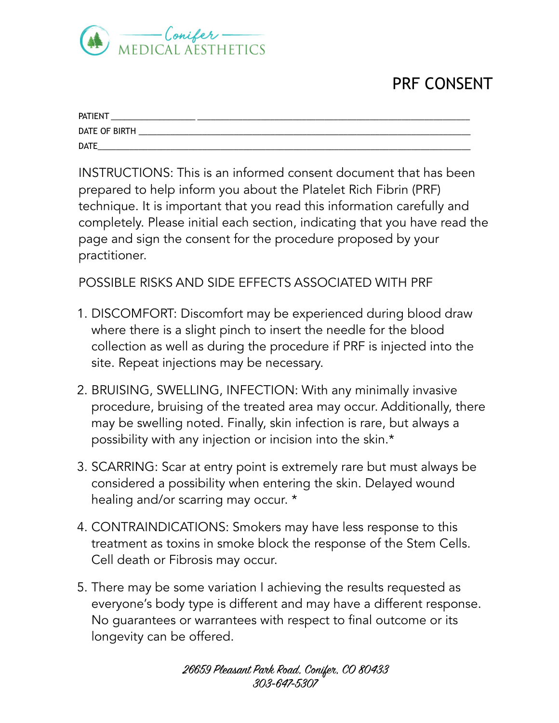

## PRF CONSENT

| <b>PATIENT</b> |  |
|----------------|--|
| DATE OF BIRTH  |  |
| <b>DATE</b>    |  |

INSTRUCTIONS: This is an informed consent document that has been prepared to help inform you about the Platelet Rich Fibrin (PRF) technique. It is important that you read this information carefully and completely. Please initial each section, indicating that you have read the page and sign the consent for the procedure proposed by your practitioner.

## POSSIBLE RISKS AND SIDE EFFECTS ASSOCIATED WITH PRF

- 1. DISCOMFORT: Discomfort may be experienced during blood draw where there is a slight pinch to insert the needle for the blood collection as well as during the procedure if PRF is injected into the site. Repeat injections may be necessary.
- 2. BRUISING, SWELLING, INFECTION: With any minimally invasive procedure, bruising of the treated area may occur. Additionally, there may be swelling noted. Finally, skin infection is rare, but always a possibility with any injection or incision into the skin.\*
- 3. SCARRING: Scar at entry point is extremely rare but must always be considered a possibility when entering the skin. Delayed wound healing and/or scarring may occur. \*
- 4. CONTRAINDICATIONS: Smokers may have less response to this treatment as toxins in smoke block the response of the Stem Cells. Cell death or Fibrosis may occur.
- 5. There may be some variation I achieving the results requested as everyone's body type is different and may have a different response. No guarantees or warrantees with respect to final outcome or its longevity can be offered.

26659 Pleasant Park Road, Conifer, CO 80433 303-647-5307